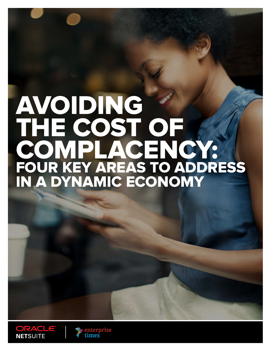# AVOIDING THE COST OF COMPLACENCY: FOUR KEY AREAS TO ADDRESS IN A DYNAMIC ECONOMY



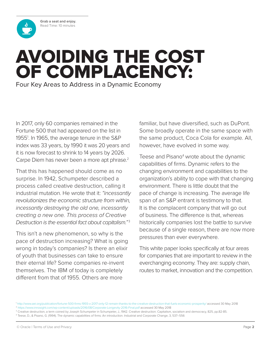<span id="page-1-0"></span>**Grab a seat and enjoy.** Read Time: 10 minutes

## AVOIDING THE COST OF COMPLACENCY: Four Key Areas to Address in a Dynamic Economy

In 2017, only 60 companies remained in the Fortune 500 that had appeared on the list in 1955<sup>1</sup> . In 1965, the average tenure in the S&P index was 33 years, by 1990 it was 20 years and it is now forecast to shrink to 14 years by 2026. Carpe Diem has never been a more apt phrase.<sup>2</sup>

That this has happened should come as no surprise. In 1942, Schumpeter described a process called creative destruction, calling it industrial mutation. He wrote that it: *"incessantly revolutionizes the economic structure from within, incessantly destroying the old one, incessantly creating a new one. This process of Creative Destruction is the essential fact about capitalism."* <sup>3</sup>

This isn't a new phenomenon, so why is the pace of destruction increasing? What is going wrong in today's companies? Is there an elixir of youth that businesses can take to ensure their eternal life? Some companies re-invent themselves. The IBM of today is completely different from that of 1955. Others are more

familiar, but have diversified, such as DuPont. Some broadly operate in the same space with the same product, Coca Cola for example. All, however, have evolved in some way.

Teese and Pisano<sup>4</sup> wrote about the dynamic capabilities of firms. Dynamic refers to the changing environment and capabilities to the organization's ability to cope with that changing environment. There is little doubt that the pace of change is increasing. The average life span of an S&P entrant is testimony to that. It is the complacent company that will go out of business. The difference is that, whereas historically companies lost the battle to survive because of a single reason, there are now more pressures than ever everywhere.

This white paper looks specifically at four areas for companies that are important to review in the everchanging economy. They are: supply chain, routes to market, innovation and the competition.

<sup>1</sup> <http://www.aei.org/publication/fortune-500-firms-1955-v-2017-only-12-remain-thanks-to-the-creative-destruction-that-fuels-economic-prosperity/> accessed 30 May 2018 <sup>2</sup> <https://www.innosight.com/wp-content/uploads/2016/08/Corporate-Longevity-2016-Final.pdf>accessed 30 May 2018

<sup>&</sup>lt;sup>3</sup> Creative destruction, a term coined by Joseph Schumpeter in Schumpeter, J., 1942. Creative destruction. Capitalism, socialism and democracy, 825, pp.82-85.

<sup>4</sup> Teese, D., & Pisano, G. (1994). The dynamic capabilities of firms: An introduction. Industrial and Corporate Change, 3, 537–556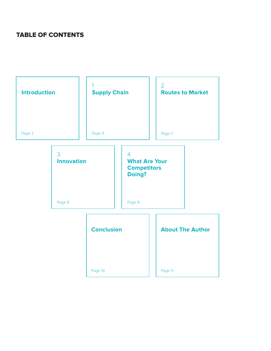#### TABLE OF CONTENTS

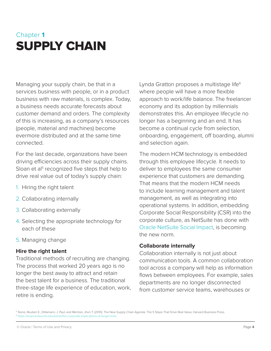### <span id="page-3-0"></span>Chapter **1** SUPPLY CHAIN

Managing your supply chain, be that in a services business with people, or in a product business with raw materials, is complex. Today, a business needs accurate forecasts about customer demand and orders. The complexity of this is increasing, as a company's resources (people, material and machines) become evermore distributed and at the same time connected.

For the last decade, organizations have been driving efficiencies across their supply chains. Sloan et al<sup>5</sup> recognized five steps that help to drive real value out of today's supply chain:

- 1. Hiring the right talent
- 2. Collaborating internally
- 3. Collaborating externally
- 4. Selecting the appropriate technology for each of these
- 5. Managing change

#### **Hire the right talent**

Traditional methods of recruiting are changing. The process that worked 20 years ago is no longer the best away to attract and retain the best talent for a business. The traditional three-stage life experience of education, work, retire is ending.

Lynda Gratton proposes a multistage life<sup>6</sup> where people will have a more flexible approach to work/life balance. The freelancer economy and its adoption by millennials demonstrates this. An employee lifecycle no longer has a beginning and an end. It has become a continual cycle from selection, onboarding, engagement, off boarding, alumni and selection again.

The modern HCM technology is embedded through this employee lifecycle. It needs to deliver to employees the same consumer experience that customers are demanding. That means that the modern HCM needs to include learning management and talent management, as well as integrating into operational systems. In addition, embedding Corporate Social Responsibility (CSR) into the corporate culture, as NetSuite has done with [Oracle NetSuite Social Impact,](http://www.netsuite.com/portal/company/social-impact/who-we-are.shtml) is becoming the new norm.

#### **Collaborate internally**

Collaboration internally is not just about communication tools. A common collaboration tool across a company will help as information flows between employees. For example, sales departments are no longer disconnected from customer service teams, warehouses or

<sup>5</sup> Slone, Reuben E., Dittamann, J. Paul, and Mentzer, Jhon T. (2010). The New Supply Chain Agenda: The 5 Steps That Drive Real Value, Harvard Business Press. <sup>6</sup> [https://sloanreview.mit.edu/article/the-corporate-implications-of-longer-lives](https://sloanreview.mit.edu/article/the-corporate-implications-of-longer-lives/)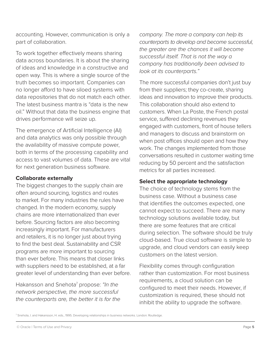accounting. However, communication is only a part of collaboration.

To work together effectively means sharing data across boundaries. It is about the sharing of ideas and knowledge in a constructive and open way. This is where a single source of the truth becomes so important. Companies can no longer afford to have siloed systems with data repositories that do not match each other. The latest business mantra is "data is the new oil." Without that data the business engine that drives performance will seize up.

The emergence of Artificial Intelligence (AI) and data analytics was only possible through the availability of massive compute power, both in terms of the processing capability and access to vast volumes of data. These are vital for next generation business software.

#### **Collaborate externally**

The biggest changes to the supply chain are often around sourcing, logistics and routes to market. For many industries the rules have changed. In the modern economy, supply chains are more internationalized than ever before. Sourcing factors are also becoming increasingly important. For manufacturers and retailers, it is no longer just about trying to find the best deal. Sustainability and CSR programs are more important to sourcing than ever before. This means that closer links with suppliers need to be established, at a far greater level of understanding than ever before.

Hakansson and Snehota<sup>7</sup> propose: *"In the network perspective, the more successful the counterparts are, the better it is for the*  *company. The more a company can help its counterparts to develop and become successful, the greater are the chances it will become successful itself. That is not the way a company has traditionally been advised to look at its counterparts."*

The more successful companies don't just buy from their suppliers; they co-create, sharing ideas and innovation to improve their products. This collaboration should also extend to customers. When La Poste, the French postal service, suffered declining revenues they engaged with customers, front of house tellers and managers to discuss and brainstorm on when post offices should open and how they work. The changes implemented from those conversations resulted in customer waiting time reducing by 50 percent and the satisfaction metrics for all parties increased.

#### **Select the appropriate technology**

The choice of technology stems from the business case. Without a business case that identifies the outcomes expected, one cannot expect to succeed. There are many technology solutions available today, but there are some features that are critical during selection. The software should be truly cloud-based. True cloud software is simple to upgrade, and cloud vendors can easily keep customers on the latest version.

Flexibility comes through configuration rather than customization. For most business requirements, a cloud solution can be configured to meet their needs. However, if customization is required, these should not inhibit the ability to upgrade the software.

<sup>7</sup> Snehota, I. and Hakansson, H. eds., 1995. Developing relationships in business networks. London: Routledge.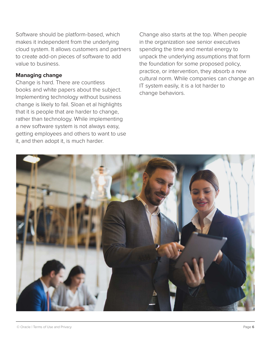Software should be platform-based, which makes it independent from the underlying cloud system. It allows customers and partners to create add-on pieces of software to add value to business.

#### **Managing change**

Change is hard. There are countless books and white papers about the subject. Implementing technology without business change is likely to fail. Sloan et al highlights that it is people that are harder to change, rather than technology. While implementing a new software system is not always easy, getting employees and others to want to use it, and then adopt it, is much harder.

Change also starts at the top. When people in the organization see senior executives spending the time and mental energy to unpack the underlying assumptions that form the foundation for some proposed policy, practice, or intervention, they absorb a new cultural norm. While companies can change an IT system easily, it is a lot harder to change behaviors.

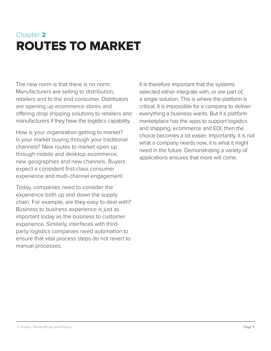## <span id="page-6-0"></span>Chapter **2** ROUTES TO MARKET

The new norm is that there is no norm. Manufacturers are selling to distribution, retailers and to the end consumer. Distributors are opening up *ecommerce* stores and offering drop shipping solutions to retailers and manufacturers if they have the logistics capability.

How is your organization getting to market? Is your market buying through your traditional channels? New routes to market open up through mobile and desktop ecommerce, new geographies and new channels. Buyers expect a consistent first-class consumer experience and multi-channel engagement.

Today, companies need to consider the experience both up and down the supply chain. For example, are they easy to deal with? Business to business experience is just as important today as the business to customer experience. Similarly, interfaces with thirdparty logistics companies need automation to ensure that vital process steps do not revert to manual processes.

It is therefore important that the systems selected either integrate with, or are part of, a single solution. This is where the platform is critical. It is impossible for a company to deliver everything a business wants. But if a platform marketplace has the apps to support logistics and shipping, ecommerce and EDI, then the choice becomes a lot easier. Importantly, it is not what a company needs now, it is what it might need in the future. Demonstrating a variety of applications ensures that more will come.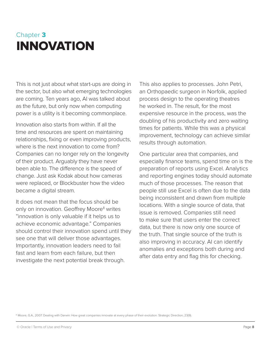### <span id="page-7-0"></span>Chapter **3** INNOVATION

This is not just about what start-ups are doing in the sector, but also what emerging technologies are coming. Ten years ago, AI was talked about as the future, but only now when computing power is a utility is it becoming commonplace.

Innovation also starts from within. If all the time and resources are spent on maintaining relationships, fixing or even improving products, where is the next innovation to come from? Companies can no longer rely on the longevity of their product. Arguably they have never been able to. The difference is the speed of change. Just ask Kodak about how cameras were replaced, or Blockbuster how the video became a digital stream.

It does not mean that the focus should be only on innovation. Geoffrey Moore<sup>8</sup> writes "innovation is only valuable if it helps us to achieve economic advantage." Companies should control their innovation spend until they see one that will deliver those advantages. Importantly, innovation leaders need to fail fast and learn from each failure, but then investigate the next potential break through.

This also applies to processes. John Petri, an Orthopaedic surgeon in Norfolk, applied process design to the operating theatres he worked in. The result, for the most expensive resource in the process, was the doubling of his productivity and zero waiting times for patients. While this was a physical improvement, technology can achieve similar results through automation.

One particular area that companies, and especially finance teams, spend time on is the preparation of reports using Excel. Analytics and reporting engines today should automate much of those processes. The reason that people still use Excel is often due to the data being inconsistent and drawn from multiple locations. With a single source of data, that issue is removed. Companies still need to make sure that users enter the correct data, but there is now only one source of the truth. That single source of the truth is also improving in accuracy. AI can identify anomalies and exceptions both during and after data entry and flag this for checking.

<sup>8</sup> Moore, G.A., 2007. Dealing with Darwin: How great companies innovate at every phase of their evolution. Strategic Direction, 23(9).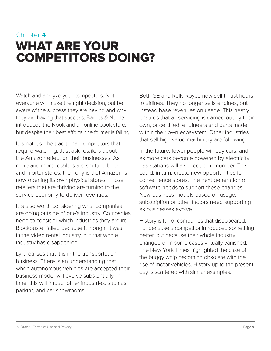### <span id="page-8-0"></span>Chapter **4** WHAT ARE YOUR COMPETITORS DOING?

Watch and analyze your competitors. Not everyone will make the right decision, but be aware of the success they are having and why they are having that success. Barnes & Noble introduced the Nook and an online book store, but despite their best efforts, the former is failing.

It is not just the traditional competitors that require watching. Just ask retailers about the Amazon effect on their businesses. As more and more retailers are shutting brickand-mortar stores, the irony is that Amazon is now opening its own physical stores. Those retailers that are thriving are turning to the service economy to deliver revenues.

It is also worth considering what companies are doing outside of one's industry. Companies need to consider which industries they are in; Blockbuster failed because it thought it was in the video rental industry, but that whole industry has disappeared.

Lyft realises that it is in the transportation business. There is an understanding that when autonomous vehicles are accepted their business model will evolve substantially. In time, this will impact other industries, such as parking and car showrooms.

Both GE and Rolls Royce now sell thrust hours to airlines. They no longer sells engines, but instead base revenues on usage. This neatly ensures that all servicing is carried out by their own, or certified, engineers and parts made within their own ecosystem. Other industries that sell high value machinery are following.

In the future, fewer people will buy cars, and as more cars become powered by electricity, gas stations will also reduce in number. This could, in turn, create new opportunities for convenience stores. The next generation of software needs to support these changes. New business models based on usage, subscription or other factors need supporting as businesses evolve.

History is full of companies that disappeared, not because a competitor introduced something better, but because their whole industry changed or in some cases virtually vanished. The New York Times highlighted the case of the buggy whip becoming obsolete with the rise of motor vehicles. History up to the present day is scattered with similar examples.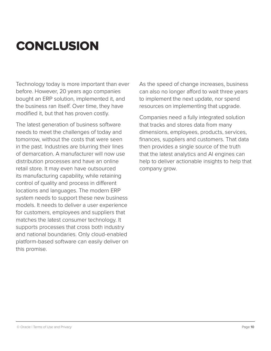## <span id="page-9-0"></span>**CONCLUSION**

Technology today is more important than ever before. However, 20 years ago companies bought an ERP solution, implemented it, and the business ran itself. Over time, they have modified it, but that has proven costly.

The latest generation of business software needs to meet the challenges of today and tomorrow, without the costs that were seen in the past. Industries are blurring their lines of demarcation. A manufacturer will now use distribution processes and have an online retail store. It may even have outsourced its manufacturing capability, while retaining control of quality and process in different locations and languages. The modern ERP system needs to support these new business models. It needs to deliver a user experience for customers, employees and suppliers that matches the latest consumer technology. It supports processes that cross both industry and national boundaries. Only cloud-enabled platform-based software can easily deliver on this promise.

As the speed of change increases, business can also no longer afford to wait three years to implement the next update, nor spend resources on implementing that upgrade.

Companies need a fully integrated solution that tracks and stores data from many dimensions, employees, products, services, finances, suppliers and customers. That data then provides a single source of the truth that the latest analytics and AI engines can help to deliver actionable insights to help that company grow.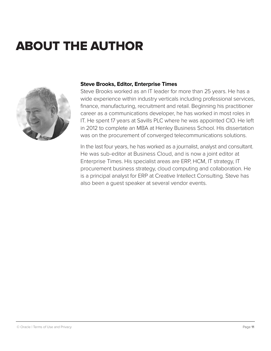## <span id="page-10-0"></span>ABOUT THE AUTHOR



#### **Steve Brooks, Editor, Enterprise Times**

Steve Brooks worked as an IT leader for more than 25 years. He has a wide experience within industry verticals including professional services, finance, manufacturing, recruitment and retail. Beginning his practitioner career as a communications developer, he has worked in most roles in IT. He spent 17 years at Savills PLC where he was appointed CIO. He left in 2012 to complete an MBA at Henley Business School. His dissertation was on the procurement of converged telecommunications solutions.

In the last four years, he has worked as a journalist, analyst and consultant. He was sub-editor at Business Cloud, and is now a joint editor at Enterprise Times. His specialist areas are ERP, HCM, IT strategy, IT procurement business strategy, cloud computing and collaboration. He is a principal analyst for ERP at Creative Intellect Consulting. Steve has also been a guest speaker at several vendor events.